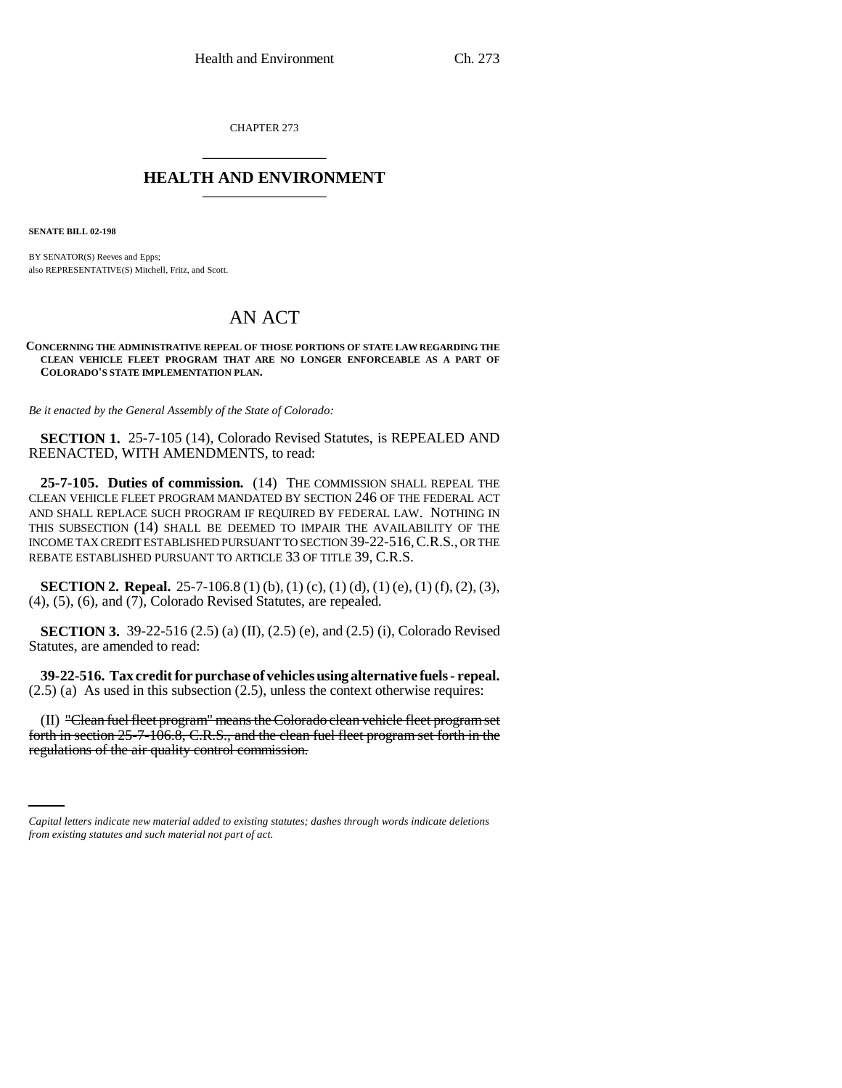CHAPTER 273 \_\_\_\_\_\_\_\_\_\_\_\_\_\_\_

## **HEALTH AND ENVIRONMENT** \_\_\_\_\_\_\_\_\_\_\_\_\_\_\_

**SENATE BILL 02-198**

BY SENATOR(S) Reeves and Epps; also REPRESENTATIVE(S) Mitchell, Fritz, and Scott.

## AN ACT

**CONCERNING THE ADMINISTRATIVE REPEAL OF THOSE PORTIONS OF STATE LAW REGARDING THE CLEAN VEHICLE FLEET PROGRAM THAT ARE NO LONGER ENFORCEABLE AS A PART OF COLORADO'S STATE IMPLEMENTATION PLAN.**

*Be it enacted by the General Assembly of the State of Colorado:*

**SECTION 1.** 25-7-105 (14), Colorado Revised Statutes, is REPEALED AND REENACTED, WITH AMENDMENTS, to read:

**25-7-105. Duties of commission.** (14) THE COMMISSION SHALL REPEAL THE CLEAN VEHICLE FLEET PROGRAM MANDATED BY SECTION 246 OF THE FEDERAL ACT AND SHALL REPLACE SUCH PROGRAM IF REQUIRED BY FEDERAL LAW. NOTHING IN THIS SUBSECTION (14) SHALL BE DEEMED TO IMPAIR THE AVAILABILITY OF THE INCOME TAX CREDIT ESTABLISHED PURSUANT TO SECTION 39-22-516,C.R.S., OR THE REBATE ESTABLISHED PURSUANT TO ARTICLE 33 OF TITLE 39, C.R.S.

**SECTION 2. Repeal.** 25-7-106.8 (1) (b), (1) (c), (1) (d), (1) (e), (1) (f), (2), (3), (4), (5), (6), and (7), Colorado Revised Statutes, are repealed.

**SECTION 3.** 39-22-516 (2.5) (a) (II), (2.5) (e), and (2.5) (i), Colorado Revised Statutes, are amended to read:

**39-22-516. Tax credit for purchase of vehicles using alternative fuels - repeal.** (2.5) (a) As used in this subsection (2.5), unless the context otherwise requires:

forth in section 25-7-106.8, C.R.S., and the clean fuel fleet program set forth in the (II) "Clean fuel fleet program" means the Colorado clean vehicle fleet program set regulations of the air quality control commission.

*Capital letters indicate new material added to existing statutes; dashes through words indicate deletions from existing statutes and such material not part of act.*